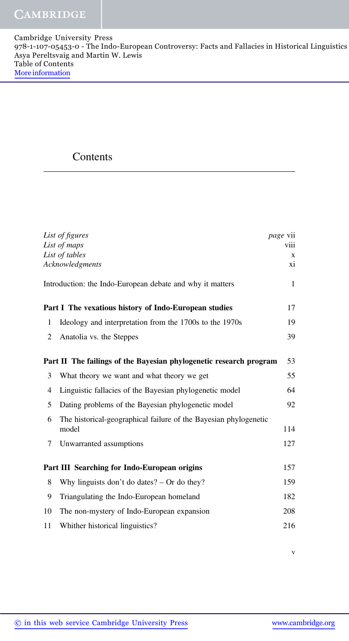## **Contents**

|                                                                          | List of figures                                                  | <i>page</i> vii |
|--------------------------------------------------------------------------|------------------------------------------------------------------|-----------------|
|                                                                          | List of maps                                                     | <b>V111</b>     |
|                                                                          | List of tables                                                   | X               |
| Acknowledgments<br>xi                                                    |                                                                  |                 |
|                                                                          | Introduction: the Indo-European debate and why it matters        | $\mathbf{1}$    |
|                                                                          | Part I The vexatious history of Indo-European studies            | 17              |
| $\mathbf{1}$                                                             | Ideology and interpretation from the 1700s to the 1970s          | 19              |
| 2                                                                        | Anatolia vs. the Steppes                                         | 39              |
|                                                                          |                                                                  |                 |
| Part II The failings of the Bayesian phylogenetic research program<br>53 |                                                                  |                 |
| 3                                                                        | What theory we want and what theory we get                       | 55              |
| $\overline{4}$                                                           | Linguistic fallacies of the Bayesian phylogenetic model          | 64              |
| 5                                                                        | Dating problems of the Bayesian phylogenetic model               | 92              |
| 6                                                                        | The historical-geographical failure of the Bayesian phylogenetic |                 |
|                                                                          | model                                                            | 114             |
| 7                                                                        | Unwarranted assumptions                                          | 127             |
|                                                                          |                                                                  |                 |
|                                                                          | Part III Searching for Indo-European origins                     | 157             |
| 8                                                                        | Why linguists don't do dates? $-$ Or do they?                    | 159             |
| 9                                                                        | Triangulating the Indo-European homeland                         | 182             |
| 10                                                                       | The non-mystery of Indo-European expansion                       | 208             |
| 11                                                                       | Whither historical linguistics?                                  | 216             |

v